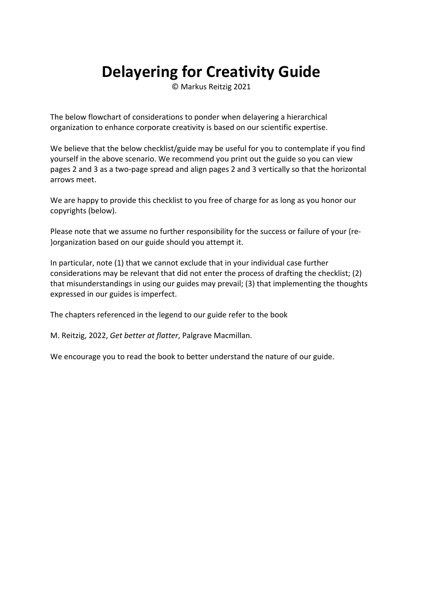## **Delayering for Creativity Guide**

© Markus Reitzig 2021

The below flowchart of considerations to ponder when delayering a hierarchical organization to enhance corporate creativity is based on our scientific expertise.

We believe that the below checklist/guide may be useful for you to contemplate if you find yourself in the above scenario. We recommend you print out the guide so you can view pages 2 and 3 as a two‐page spread and align pages 2 and 3 vertically so that the horizontal arrows meet.

We are happy to provide this checklist to you free of charge for as long as you honor our copyrights (below).

Please note that we assume no further responsibility for the success or failure of your (re‐ )organization based on our guide should you attempt it.

In particular, note (1) that we cannot exclude that in your individual case further considerations may be relevant that did not enter the process of drafting the checklist; (2) that misunderstandings in using our guides may prevail; (3) that implementing the thoughts expressed in our guides is imperfect.

The chapters referenced in the legend to our guide refer to the book

M. Reitzig, 2022, *Get better at flatter*, Palgrave Macmillan.

We encourage you to read the book to better understand the nature of our guide.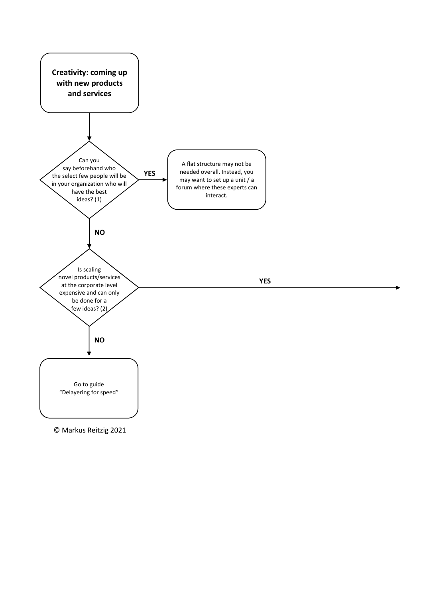

© Markus Reitzig 2021